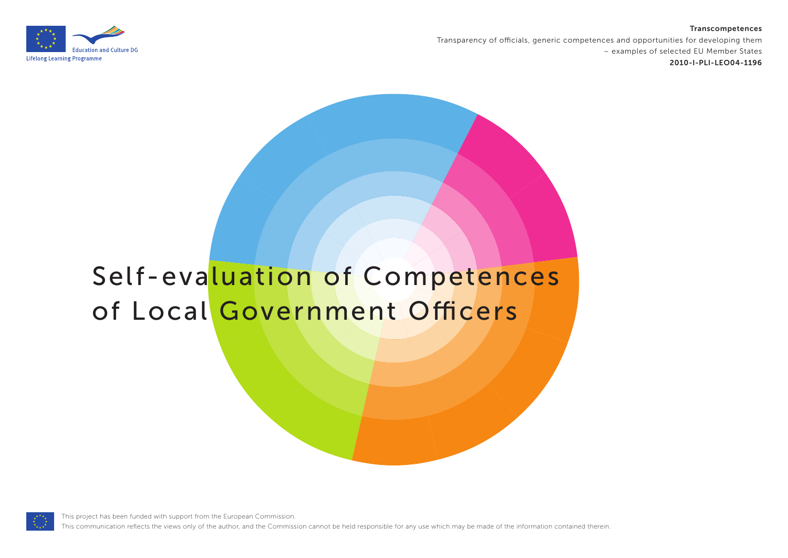#### **Transcompetences**



Transparency of officials, generic competences and opportunities for developing them – examples of selected EU Member States **2010-I-PLI-LEO04-1196**

# Self-evaluation of Competences of Local Government Officers

This project has been funded with support from the European Commission.

This communication reflects the views only of the author, and the Commission cannot be held responsible for any use which may be made of the information contained therein.

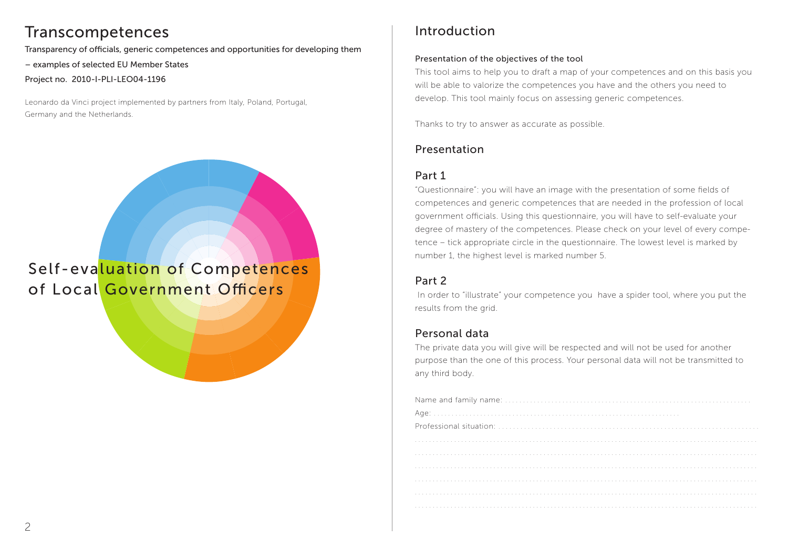### Transcompetences

Transparency of officials, generic competences and opportunities for developing them – examples of selected EU Member States Project no. 2010-I-PLI-LEO04-1196

Leonardo da Vinci project implemented by partners from Italy, Poland, Portugal, Germany and the Netherlands.

Self-evaluation of Competences of Local Government Officers

### Introduction

#### Presentation of the objectives of the tool

This tool aims to help you to draft a map of your competences and on this basis you will be able to valorize the competences you have and the others you need to develop. This tool mainly focus on assessing generic competences.

Thanks to try to answer as accurate as possible.

### Presentation

### Part 1

"Questionnaire": you will have an image with the presentation of some fields of competences and generic competences that are needed in the profession of local government officials. Using this questionnaire, you will have to self-evaluate your degree of mastery of the competences. Please check on your level of every competence – tick appropriate circle in the questionnaire. The lowest level is marked by number 1, the highest level is marked number 5.

### Part 2

 In order to "illustrate" your competence you have a spider tool, where you put the results from the grid.

### Personal data

The private data you will give will be respected and will not be used for another purpose than the one of this process. Your personal data will not be transmitted to any third body.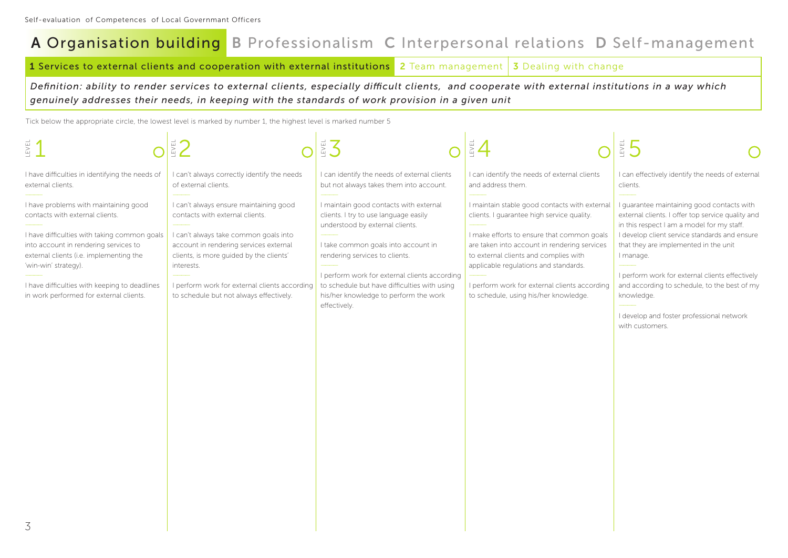**<sup>1</sup>** Services to external clients and cooperation with external institutions **<sup>2</sup>** Team management **3** Dealing with change

*Definition: ability to render services to external clients, especially difficult clients, and cooperate with external institutions in a way which genuinely addresses their needs, in keeping with the standards of work provision in a given unit*

| LEVEL                                                                                                                                                                                                                                                                                                                            |                                                                                                                                                                                                                                                                                                                   |                                                                                                                                                                                                                                                                                                                                                       |                                                                                                                                                                                                                                                                                                                                                                       | $\sum_{i=1}^{n}$                                                                                                                                                                                                                                                                                                                                                                                                                      |
|----------------------------------------------------------------------------------------------------------------------------------------------------------------------------------------------------------------------------------------------------------------------------------------------------------------------------------|-------------------------------------------------------------------------------------------------------------------------------------------------------------------------------------------------------------------------------------------------------------------------------------------------------------------|-------------------------------------------------------------------------------------------------------------------------------------------------------------------------------------------------------------------------------------------------------------------------------------------------------------------------------------------------------|-----------------------------------------------------------------------------------------------------------------------------------------------------------------------------------------------------------------------------------------------------------------------------------------------------------------------------------------------------------------------|---------------------------------------------------------------------------------------------------------------------------------------------------------------------------------------------------------------------------------------------------------------------------------------------------------------------------------------------------------------------------------------------------------------------------------------|
| I have difficulties in identifying the needs of<br>external clients.                                                                                                                                                                                                                                                             | I can't always correctly identify the needs<br>of external clients.                                                                                                                                                                                                                                               | I can identify the needs of external clients<br>but not always takes them into account.                                                                                                                                                                                                                                                               | I can identify the needs of external clients<br>and address them.                                                                                                                                                                                                                                                                                                     | I can effectively identify the needs of external<br>clients.                                                                                                                                                                                                                                                                                                                                                                          |
| I have problems with maintaining good<br>contacts with external clients.<br>I have difficulties with taking common goals<br>into account in rendering services to<br>external clients (i.e. implementing the<br>'win-win' strategy).<br>I have difficulties with keeping to deadlines<br>in work performed for external clients. | I can't always ensure maintaining good<br>contacts with external clients.<br>I can't always take common goals into<br>account in rendering services external<br>clients, is more guided by the clients'<br>interests.<br>I perform work for external clients according<br>to schedule but not always effectively. | I maintain good contacts with external<br>clients. I try to use language easily<br>understood by external clients.<br>I take common goals into account in<br>rendering services to clients.<br>I perform work for external clients according<br>to schedule but have difficulties with using<br>his/her knowledge to perform the work<br>effectively. | I maintain stable good contacts with external<br>clients. I quarantee high service quality.<br>I make efforts to ensure that common goals<br>are taken into account in rendering services<br>to external clients and complies with<br>applicable regulations and standards.<br>I perform work for external clients according<br>to schedule, using his/her knowledge. | I guarantee maintaining good contacts with<br>external clients. I offer top service quality and<br>in this respect I am a model for my staff.<br>I develop client service standards and ensure<br>that they are implemented in the unit<br>I manage.<br>I perform work for external clients effectively<br>and according to schedule, to the best of my<br>knowledge.<br>I develop and foster professional network<br>with customers. |
| ス                                                                                                                                                                                                                                                                                                                                |                                                                                                                                                                                                                                                                                                                   |                                                                                                                                                                                                                                                                                                                                                       |                                                                                                                                                                                                                                                                                                                                                                       |                                                                                                                                                                                                                                                                                                                                                                                                                                       |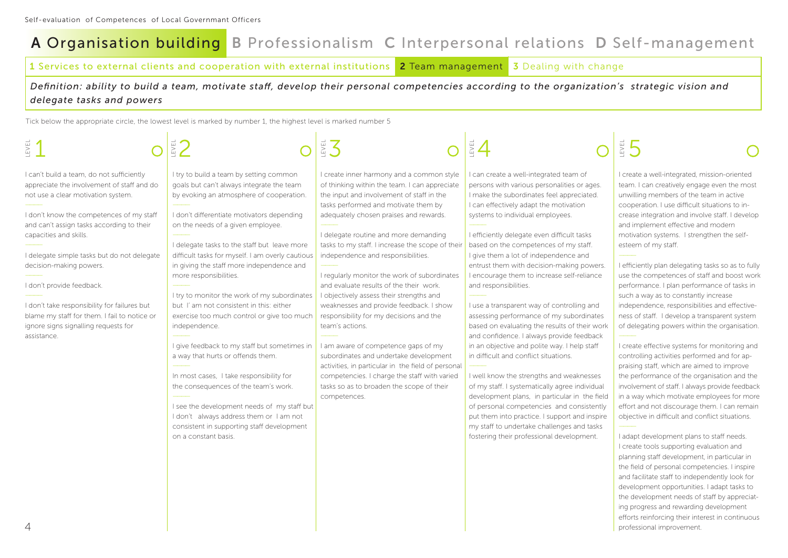**<sup>1</sup>** Services to external clients and cooperation with external institutions **<sup>2</sup>** Team management **3** Dealing with change

*Definition: ability to build a team, motivate staff, develop their personal competencies according to the organization's strategic vision and delegate tasks and powers*

Tick below the appropriate circle, the lowest level is marked by number 1, the highest level is marked number 5

| EVEL                                                                                                                                                                                                                                                                                                                       |                                                                                                                                                                                                                                                                                                                                                                      | $\stackrel{\scriptscriptstyle \mathrm{H}}{\scriptscriptstyle \mathrm{S}}$                                                                                                                                                                                                                                                                                    | EZ                                                                                                                                                                                                                                                                                                                                                                                           | EVEL                                                                                                                                                                                                                                                                                                                                                                                                         |
|----------------------------------------------------------------------------------------------------------------------------------------------------------------------------------------------------------------------------------------------------------------------------------------------------------------------------|----------------------------------------------------------------------------------------------------------------------------------------------------------------------------------------------------------------------------------------------------------------------------------------------------------------------------------------------------------------------|--------------------------------------------------------------------------------------------------------------------------------------------------------------------------------------------------------------------------------------------------------------------------------------------------------------------------------------------------------------|----------------------------------------------------------------------------------------------------------------------------------------------------------------------------------------------------------------------------------------------------------------------------------------------------------------------------------------------------------------------------------------------|--------------------------------------------------------------------------------------------------------------------------------------------------------------------------------------------------------------------------------------------------------------------------------------------------------------------------------------------------------------------------------------------------------------|
| I can't build a team, do not sufficiently<br>appreciate the involvement of staff and do<br>not use a clear motivation system.<br>I don't know the competences of my staff<br>and can't assign tasks according to their<br>capacities and skills.<br>I delegate simple tasks but do not delegate<br>decision-making powers. | I try to build a team by setting common<br>goals but can't always integrate the team<br>by evoking an atmosphere of cooperation.<br>I don't differentiate motivators depending<br>on the needs of a given employee.<br>I delegate tasks to the staff but leave more<br>difficult tasks for myself. I am overly cautious<br>in giving the staff more independence and | I create inner harmony and a common style<br>of thinking within the team. I can appreciate<br>the input and involvement of staff in the<br>tasks performed and motivate them by<br>adequately chosen praises and rewards.<br>I delegate routine and more demanding<br>tasks to my staff. I increase the scope of their<br>independence and responsibilities. | can create a well-integrated team of<br>persons with various personalities or ages.<br>I make the subordinates feel appreciated.<br>I can effectively adapt the motivation<br>systems to individual employees.<br>I efficiently delegate even difficult tasks<br>based on the competences of my staff.<br>I give them a lot of independence and<br>entrust them with decision-making powers. | I create a well-integrated, mission-oriented<br>team. I can creatively engage even the most<br>unwilling members of the team in active<br>cooperation. I use difficult situations to in-<br>crease integration and involve staff. I develop<br>and implement effective and modern<br>motivation systems. I strengthen the self-<br>esteem of my staff.<br>I efficiently plan delegating tasks so as to fully |
| I don't provide feedback.<br>I don't take responsibility for failures but<br>blame my staff for them. I fail to notice or<br>ignore signs signalling requests for<br>assistance.                                                                                                                                           | more responsibilities.<br>I try to monitor the work of my subordinates<br>but I' am not consistent in this: either<br>exercise too much control or give too much<br>independence.<br>I give feedback to my staff but sometimes in                                                                                                                                    | I regularly monitor the work of subordinates<br>and evaluate results of the their work.<br>I objectively assess their strengths and<br>weaknesses and provide feedback. I show<br>responsibility for my decisions and the<br>team's actions.<br>I am aware of competence gaps of my                                                                          | I encourage them to increase self-reliance<br>and responsibilities.<br>I use a transparent way of controlling and<br>assessing performance of my subordinates<br>based on evaluating the results of their work<br>and confidence. I always provide feedback<br>in an objective and polite way. I help staff                                                                                  | use the competences of staff and boost work<br>performance. I plan performance of tasks in<br>such a way as to constantly increase<br>independence, responsibilities and effective-<br>ness of staff. I develop a transparent system<br>of delegating powers within the organisation.<br>I create effective systems for monitoring and                                                                       |
|                                                                                                                                                                                                                                                                                                                            | a way that hurts or offends them.<br>In most cases, I take responsibility for<br>the consequences of the team's work.<br>I see the development needs of my staff but<br>I don't always address them or I am not<br>consistent in supporting staff development<br>on a constant basis.                                                                                | subordinates and undertake development<br>activities, in particular in the field of personal<br>competencies. I charge the staff with varied<br>tasks so as to broaden the scope of their<br>competences.                                                                                                                                                    | in difficult and conflict situations.<br>I well know the strengths and weaknesses<br>of my staff. I systematically agree individual<br>development plans, in particular in the field<br>of personal competencies and consistently<br>put them into practice. I support and inspire<br>my staff to undertake challenges and tasks<br>fostering their professional development.                | controlling activities performed and for ap-<br>praising staff, which are aimed to improve<br>the performance of the organisation and the<br>involvement of staff. I always provide feedback<br>in a way which motivate employees for more<br>effort and not discourage them. I can remain<br>objective in difficult and conflict situations.<br>I adapt development plans to staff needs.                   |
|                                                                                                                                                                                                                                                                                                                            |                                                                                                                                                                                                                                                                                                                                                                      |                                                                                                                                                                                                                                                                                                                                                              |                                                                                                                                                                                                                                                                                                                                                                                              | I create tools supporting evaluation and<br>planning staff development, in particular in<br>the field of personal competencies. I inspire<br>and facilitate staff to independently look for<br>development opportunities. I adapt tasks to<br>the development needs of staff by appreciat-                                                                                                                   |

the development needs of staff by appreciating progress and rewarding development efforts reinforcing their interest in continuous professional improvement.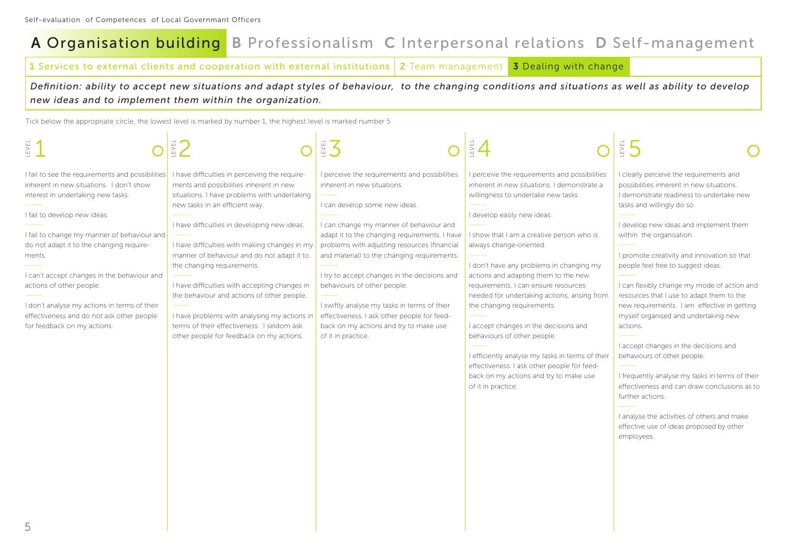**<sup>1</sup>** Services to external clients and cooperation with external institutions **<sup>2</sup>** Team management **3** Dealing with change

*Definition: ability to accept new situations and adapt styles of behaviour, to the changing conditions and situations as well as ability to develop new ideas and to implement them within the organization.*

| EVEL                                                                                                                                                                                                                                                                                                                                                                                                                                                                           | EVEL                                                                                                                                                                                                                                                                                                                                                                                                                                                                                                                                                                                              | ES                                                                                                                                                                                                                                                                                                                                                                                                                                                                                                                                                     | $\overline{\mathbb{E}}$ .                                                                                                                                                                                                                                                                                                                                                                                                                                                                                                                                                                                                                                                                       | $\frac{1}{2}$                                                                                                                                                                                                                                                                                                                                                                                                                                                                                                                                                                                                                                                                                                                                                                                                                    |
|--------------------------------------------------------------------------------------------------------------------------------------------------------------------------------------------------------------------------------------------------------------------------------------------------------------------------------------------------------------------------------------------------------------------------------------------------------------------------------|---------------------------------------------------------------------------------------------------------------------------------------------------------------------------------------------------------------------------------------------------------------------------------------------------------------------------------------------------------------------------------------------------------------------------------------------------------------------------------------------------------------------------------------------------------------------------------------------------|--------------------------------------------------------------------------------------------------------------------------------------------------------------------------------------------------------------------------------------------------------------------------------------------------------------------------------------------------------------------------------------------------------------------------------------------------------------------------------------------------------------------------------------------------------|-------------------------------------------------------------------------------------------------------------------------------------------------------------------------------------------------------------------------------------------------------------------------------------------------------------------------------------------------------------------------------------------------------------------------------------------------------------------------------------------------------------------------------------------------------------------------------------------------------------------------------------------------------------------------------------------------|----------------------------------------------------------------------------------------------------------------------------------------------------------------------------------------------------------------------------------------------------------------------------------------------------------------------------------------------------------------------------------------------------------------------------------------------------------------------------------------------------------------------------------------------------------------------------------------------------------------------------------------------------------------------------------------------------------------------------------------------------------------------------------------------------------------------------------|
| I fail to see the requirements and possibilities<br>inherent in new situations. I don't show<br>interest in undertaking new tasks.<br>I fail to develop new ideas.<br>I fail to change my manner of behaviour and<br>do not adapt it to the changing require-<br>ments.<br>I can't accept changes in the behaviour and<br>actions of other people.<br>I don't analyse my actions in terms of their<br>effectiveness and do not ask other people<br>for feedback on my actions. | I have difficulties in perceiving the require-<br>ments and possibilities inherent in new<br>situations. I have problems with undertaking<br>new tasks in an efficient way.<br>I have difficulties in developing new ideas.<br>I have difficulties with making changes in my<br>manner of behaviour and do not adapt it to<br>the changing requirements.<br>I have difficulties with accepting changes in<br>the behaviour and actions of other people.<br>I have problems with analysing my actions in<br>terms of their effectiveness. I seldom ask<br>other people for feedback on my actions. | I perceive the requirements and possibilities<br>inherent in new situations.<br>I can develop some new ideas.<br>I can change my manner of behaviour and<br>adapt it to the changing requirements. I have<br>problems with adjusting resources (financial<br>and material) to the changing requirements.<br>I try to accept changes in the decisions and<br>behaviours of other people.<br>I swiftly analyse my tasks in terms of their<br>effectiveness. I ask other people for feed-<br>back on my actions and try to make use<br>of it in practice. | I perceive the requirements and possibilities<br>inherent in new situations. I demonstrate a<br>willingness to undertake new tasks.<br>I develop easily new ideas.<br>I show that I am a creative person who is<br>always change-oriented.<br>I don't have any problems in changing my<br>actions and adapting them to the new<br>requirements. I can ensure resources<br>needed for undertaking actions, arising from<br>the changing requirements.<br>I accept changes in the decisions and<br>behaviours of other people.<br>I efficiently analyse my tasks in terms of their<br>effectiveness. I ask other people for feed-<br>back on my actions and try to make use<br>of it in practice. | I clearly perceive the requirements and<br>possibilities inherent in new situations.<br>I demonstrate readiness to undertake new<br>tasks and willingly do so.<br>I develop new ideas and implement them<br>within the organisation.<br>I promote creativity and innovation so that<br>people feel free to suggest ideas.<br>I can flexibly change my mode of action and<br>resources that I use to adapt them to the<br>new requirements. I am effective in getting<br>myself organised and undertaking new<br>actions.<br>I accept changes in the decisions and<br>behaviours of other people.<br>I frequently analyse my tasks in terms of their<br>effectiveness and can draw conclusions as to<br>further actions.<br>I analyse the activities of others and make<br>effective use of ideas proposed by other<br>employees. |
|                                                                                                                                                                                                                                                                                                                                                                                                                                                                                |                                                                                                                                                                                                                                                                                                                                                                                                                                                                                                                                                                                                   |                                                                                                                                                                                                                                                                                                                                                                                                                                                                                                                                                        |                                                                                                                                                                                                                                                                                                                                                                                                                                                                                                                                                                                                                                                                                                 |                                                                                                                                                                                                                                                                                                                                                                                                                                                                                                                                                                                                                                                                                                                                                                                                                                  |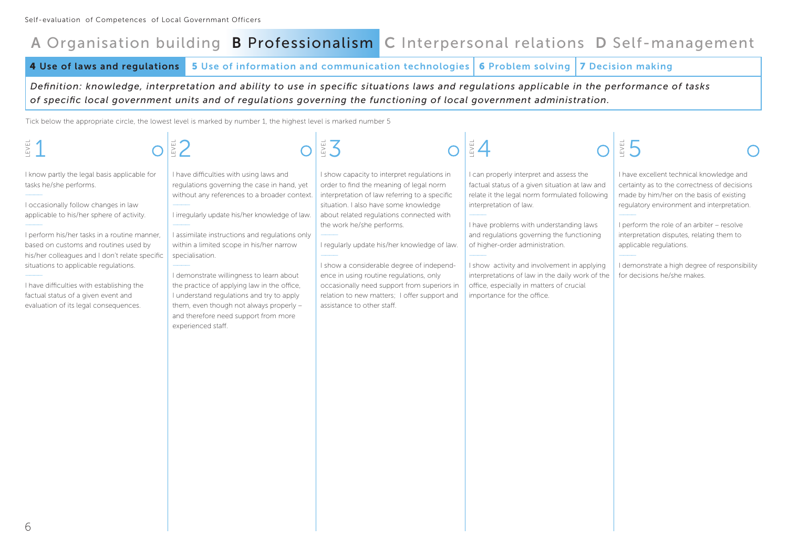**4 Use of laws and regulations 5 Use of information and communication technologies 6 Problem solving 7 Decision making**

*Definition: knowledge, interpretation and ability to use in specific situations laws and regulations applicable in the performance of tasks of specific local government units and of regulations governing the functioning of local government administration.*

| $\mathbb{E} \mathsf{VEL}$                                                                                                                                                                                                                                                                                                                                                                                                                                                    |                                                                                                                                                                                                                                                                                                                                                                                                                                                                                                                                                            |                                                                                                                                                                                                                                                                                                                                                                                                                                                                                                                                |                                                                                                                                                                                                                                                                                                                                                                                                                                                                             | EVEL                                                                                                                                                                                                                                                                                                                                                                                     |
|------------------------------------------------------------------------------------------------------------------------------------------------------------------------------------------------------------------------------------------------------------------------------------------------------------------------------------------------------------------------------------------------------------------------------------------------------------------------------|------------------------------------------------------------------------------------------------------------------------------------------------------------------------------------------------------------------------------------------------------------------------------------------------------------------------------------------------------------------------------------------------------------------------------------------------------------------------------------------------------------------------------------------------------------|--------------------------------------------------------------------------------------------------------------------------------------------------------------------------------------------------------------------------------------------------------------------------------------------------------------------------------------------------------------------------------------------------------------------------------------------------------------------------------------------------------------------------------|-----------------------------------------------------------------------------------------------------------------------------------------------------------------------------------------------------------------------------------------------------------------------------------------------------------------------------------------------------------------------------------------------------------------------------------------------------------------------------|------------------------------------------------------------------------------------------------------------------------------------------------------------------------------------------------------------------------------------------------------------------------------------------------------------------------------------------------------------------------------------------|
| I know partly the legal basis applicable for<br>tasks he/she performs.<br>I occasionally follow changes in law<br>applicable to his/her sphere of activity.<br>I perform his/her tasks in a routine manner,<br>based on customs and routines used by<br>his/her colleagues and I don't relate specific<br>situations to applicable regulations.<br>I have difficulties with establishing the<br>factual status of a given event and<br>evaluation of its legal consequences. | I have difficulties with using laws and<br>regulations governing the case in hand, yet<br>without any references to a broader context.<br>I irregularly update his/her knowledge of law.<br>I assimilate instructions and regulations only<br>within a limited scope in his/her narrow<br>specialisation.<br>I demonstrate willingness to learn about<br>the practice of applying law in the office,<br>I understand regulations and try to apply<br>them, even though not always properly -<br>and therefore need support from more<br>experienced staff. | I show capacity to interpret regulations in<br>order to find the meaning of legal norm<br>interpretation of law referring to a specific<br>situation. I also have some knowledge<br>about related regulations connected with<br>the work he/she performs.<br>I regularly update his/her knowledge of law.<br>I show a considerable degree of independ-<br>ence in using routine regulations, only<br>occasionally need support from superiors in<br>relation to new matters; I offer support and<br>assistance to other staff. | I can properly interpret and assess the<br>factual status of a given situation at law and<br>relate it the legal norm formulated following<br>interpretation of law.<br>I have problems with understanding laws<br>and regulations governing the functioning<br>of higher-order administration.<br>I show activity and involvement in applying<br>interpretations of law in the daily work of the<br>office, especially in matters of crucial<br>importance for the office. | I have excellent technical knowledge and<br>certainty as to the correctness of decisions<br>made by him/her on the basis of existing<br>regulatory environment and interpretation.<br>I perform the role of an arbiter - resolve<br>interpretation disputes, relating them to<br>applicable regulations.<br>I demonstrate a high degree of responsibility<br>for decisions he/she makes. |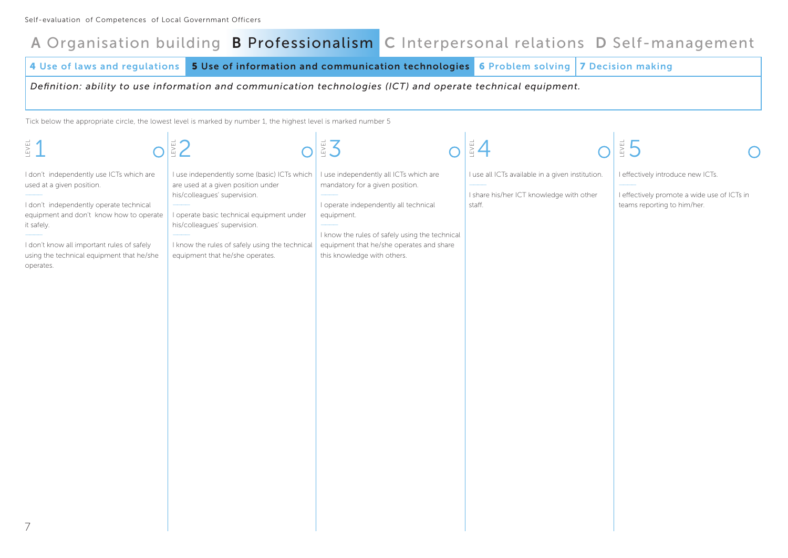**4 Use of laws and regulations 5 Use of information and communication technologies 6 Problem solving 7 Decision making**

*Definition: ability to use information and communication technologies (ICT) and operate technical equipment.*

| 图1                                                                                                                                                                                                                                                                                | EZ <sub>1</sub>                                                                                                                                                                                                                                                                     | EX 3                                                                                                                                                                                                                                                          | $\frac{3}{2}$                                                                                          | $\frac{1}{2}$ 5                                                                                                 |
|-----------------------------------------------------------------------------------------------------------------------------------------------------------------------------------------------------------------------------------------------------------------------------------|-------------------------------------------------------------------------------------------------------------------------------------------------------------------------------------------------------------------------------------------------------------------------------------|---------------------------------------------------------------------------------------------------------------------------------------------------------------------------------------------------------------------------------------------------------------|--------------------------------------------------------------------------------------------------------|-----------------------------------------------------------------------------------------------------------------|
| I don't independently use ICTs which are<br>used at a given position.<br>I don't independently operate technical<br>equipment and don't know how to operate<br>it safely.<br>I don't know all important rules of safely<br>using the technical equipment that he/she<br>operates. | I use independently some (basic) ICTs which<br>are used at a given position under<br>his/colleagues' supervision.<br>I operate basic technical equipment under<br>his/colleagues' supervision.<br>I know the rules of safely using the technical<br>equipment that he/she operates. | I use independently all ICTs which are<br>mandatory for a given position.<br>I operate independently all technical<br>equipment.<br>I know the rules of safely using the technical<br>equipment that he/she operates and share<br>this knowledge with others. | I use all ICTs available in a given institution.<br>I share his/her ICT knowledge with other<br>staff. | I effectively introduce new ICTs.<br>I effectively promote a wide use of ICTs in<br>teams reporting to him/her. |
|                                                                                                                                                                                                                                                                                   |                                                                                                                                                                                                                                                                                     |                                                                                                                                                                                                                                                               |                                                                                                        |                                                                                                                 |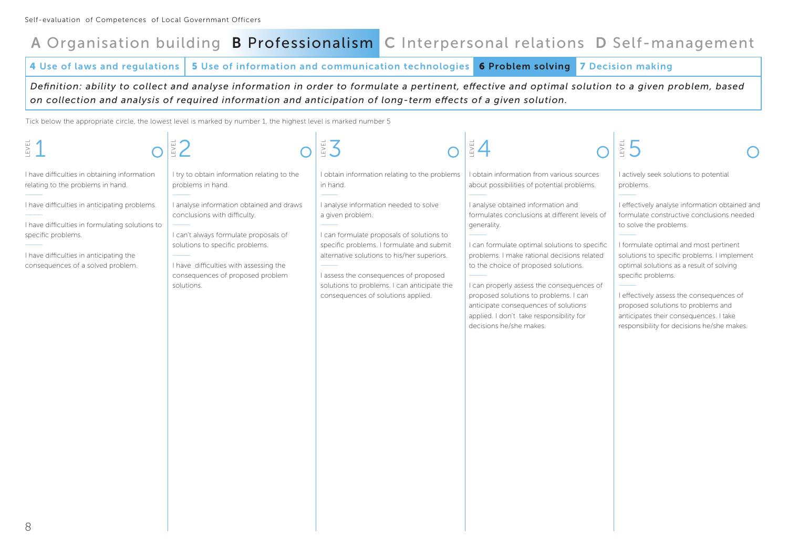**4 Use of laws and regulations 5 Use of information and communication technologies 6 Problem solving 7 Decision making**

*Definition: ability to collect and analyse information in order to formulate a pertinent, effective and optimal solution to a given problem, based on collection and analysis of required information and anticipation of long-term effects of a given solution.*

| <b>EVEL</b>                                                                                                                                                                                            |                                                                                                                                                                                                                                                  | EZ                                                                                                                                                                                                                                                                                                                               | EZ                                                                                                                                                                                                                                                                                                                                                                                                                                              | EVEL                                                                                                                                                                                                                                                                                                                                                                                                                                                       |
|--------------------------------------------------------------------------------------------------------------------------------------------------------------------------------------------------------|--------------------------------------------------------------------------------------------------------------------------------------------------------------------------------------------------------------------------------------------------|----------------------------------------------------------------------------------------------------------------------------------------------------------------------------------------------------------------------------------------------------------------------------------------------------------------------------------|-------------------------------------------------------------------------------------------------------------------------------------------------------------------------------------------------------------------------------------------------------------------------------------------------------------------------------------------------------------------------------------------------------------------------------------------------|------------------------------------------------------------------------------------------------------------------------------------------------------------------------------------------------------------------------------------------------------------------------------------------------------------------------------------------------------------------------------------------------------------------------------------------------------------|
| I have difficulties in obtaining information<br>relating to the problems in hand.                                                                                                                      | I try to obtain information relating to the<br>problems in hand.                                                                                                                                                                                 | I obtain information relating to the problems<br>in hand.                                                                                                                                                                                                                                                                        | I obtain information from various sources<br>about possibilities of potential problems.                                                                                                                                                                                                                                                                                                                                                         | I actively seek solutions to potential<br>problems.                                                                                                                                                                                                                                                                                                                                                                                                        |
| I have difficulties in anticipating problems.<br>I have difficulties in formulating solutions to<br>specific problems.<br>I have difficulties in anticipating the<br>consequences of a solved problem. | I analyse information obtained and draws<br>conclusions with difficulty.<br>I can't always formulate proposals of<br>solutions to specific problems.<br>I have difficulties with assessing the<br>consequences of proposed problem<br>solutions. | I analyse information needed to solve<br>a given problem.<br>I can formulate proposals of solutions to<br>specific problems. I formulate and submit<br>alternative solutions to his/her superiors.<br>I assess the consequences of proposed<br>solutions to problems. I can anticipate the<br>consequences of solutions applied. | I analyse obtained information and<br>formulates conclusions at different levels of<br>generality.<br>I can formulate optimal solutions to specific<br>problems. I make rational decisions related<br>to the choice of proposed solutions.<br>I can properly assess the consequences of<br>proposed solutions to problems. I can<br>anticipate consequences of solutions<br>applied. I don't take responsibility for<br>decisions he/she makes. | I effectively analyse information obtained and<br>formulate constructive conclusions needed<br>to solve the problems.<br>I formulate optimal and most pertinent<br>solutions to specific problems. I implement<br>optimal solutions as a result of solving<br>specific problems.<br>I effectively assess the consequences of<br>proposed solutions to problems and<br>anticipates their consequences. I take<br>responsibility for decisions he/she makes. |
| R                                                                                                                                                                                                      |                                                                                                                                                                                                                                                  |                                                                                                                                                                                                                                                                                                                                  |                                                                                                                                                                                                                                                                                                                                                                                                                                                 |                                                                                                                                                                                                                                                                                                                                                                                                                                                            |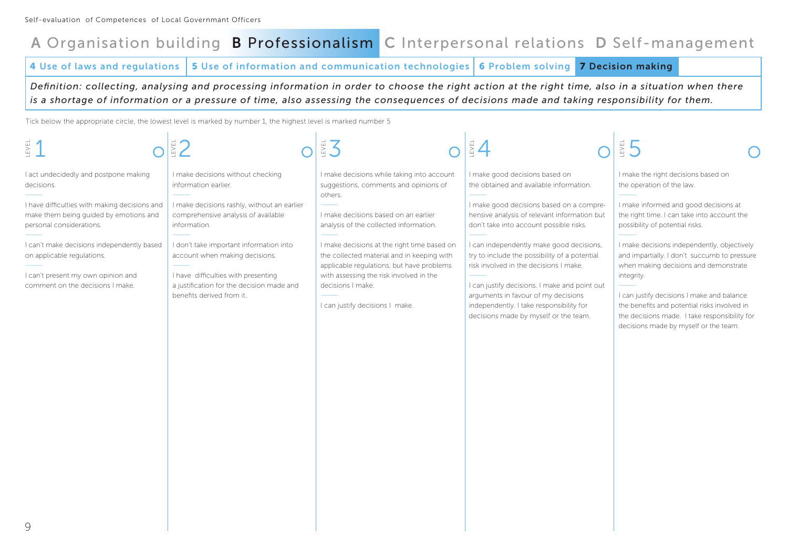**4 Use of laws and regulations 5 Use of information and communication technologies 6 Problem solving 7 Decision making**

*Definition: collecting, analysing and processing information in order to choose the right action at the right time, also in a situation when there is a shortage of information or a pressure of time, also assessing the consequences of decisions made and taking responsibility for them.*

| $rac{1}{2}$                                                                                                                                                                                                                                                                                                                      |                                                                                                                                                                                                                                                                                                                                                               | EX 3                                                                                                                                                                                                                                                                                                                                                                                                                          | EVEL                                                                                                                                                                                                                                                                                                                                                                                                                                                                                                                                 | EVEL                                                                                                                                                                                                                                                                                                                                                                                                                                                                                                                                      |
|----------------------------------------------------------------------------------------------------------------------------------------------------------------------------------------------------------------------------------------------------------------------------------------------------------------------------------|---------------------------------------------------------------------------------------------------------------------------------------------------------------------------------------------------------------------------------------------------------------------------------------------------------------------------------------------------------------|-------------------------------------------------------------------------------------------------------------------------------------------------------------------------------------------------------------------------------------------------------------------------------------------------------------------------------------------------------------------------------------------------------------------------------|--------------------------------------------------------------------------------------------------------------------------------------------------------------------------------------------------------------------------------------------------------------------------------------------------------------------------------------------------------------------------------------------------------------------------------------------------------------------------------------------------------------------------------------|-------------------------------------------------------------------------------------------------------------------------------------------------------------------------------------------------------------------------------------------------------------------------------------------------------------------------------------------------------------------------------------------------------------------------------------------------------------------------------------------------------------------------------------------|
| I act undecidedly and postpone making<br>decisions.<br>I have difficulties with making decisions and<br>make them being guided by emotions and<br>personal considerations.<br>I can't make decisions independently based<br>on applicable regulations.<br>I can't present my own opinion and<br>comment on the decisions I make. | I make decisions without checking<br>information earlier.<br>I make decisions rashly, without an earlier<br>comprehensive analysis of available<br>information.<br>I don't take important information into<br>account when making decisions.<br>I have difficulties with presenting<br>a justification for the decision made and<br>benefits derived from it. | I make decisions while taking into account<br>suggestions, comments and opinions of<br>others.<br>I make decisions based on an earlier<br>analysis of the collected information.<br>I make decisions at the right time based on<br>the collected material and in keeping with<br>applicable regulations, but have problems<br>with assessing the risk involved in the<br>decisions I make.<br>I can justify decisions I make. | I make good decisions based on<br>the obtained and available information.<br>I make good decisions based on a compre-<br>hensive analysis of relevant information but<br>don't take into account possible risks.<br>I can independently make good decisions,<br>try to include the possibility of a potential<br>risk involved in the decisions I make.<br>I can justify decisions. I make and point out<br>arguments in favour of my decisions<br>independently. I take responsibility for<br>decisions made by myself or the team. | I make the right decisions based on<br>the operation of the law.<br>I make informed and good decisions at<br>the right time. I can take into account the<br>possibility of potential risks.<br>I make decisions independently, objectively<br>and impartially. I don't succumb to pressure<br>when making decisions and demonstrate<br>integrity.<br>I can justify decisions I make and balance<br>the benefits and potential risks involved in<br>the decisions made. I take responsibility for<br>decisions made by myself or the team. |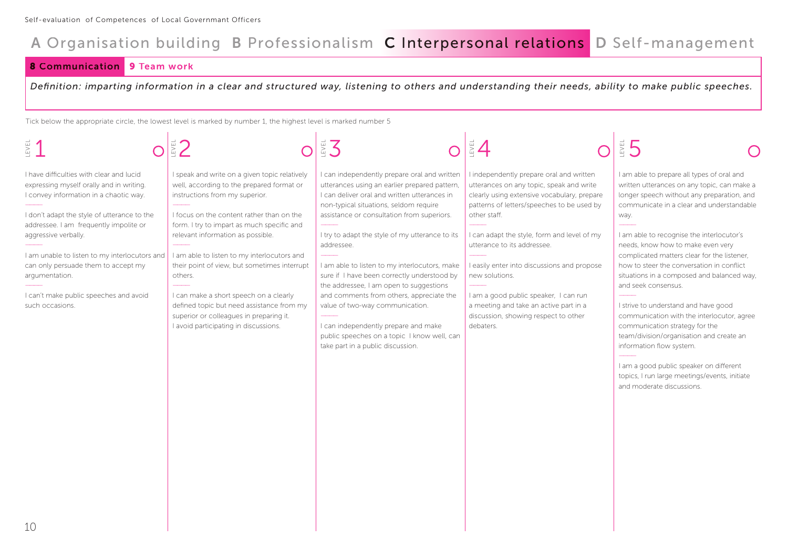### **8 Communication 9 Team work**

*Definition: imparting information in a clear and structured way, listening to others and understanding their needs, ability to make public speeches.*

| EVEL                                                                                                                                                                                                                                                                                                                                                                                                                   |                                                                                                                                                                                                                                                                                                                                                                                                                                                                                                                                                   |                                                                                                                                                                                                                                                                                                                                                                                                                                                                                                                                                                                                                                                              |                                                                                                                                                                                                                                                                                                                                                                                                                                                                                          |                                                                                                                                                                                                                                                                                                                                                                                                                                                                                                                                                                                                                                                                                                                                                                          |
|------------------------------------------------------------------------------------------------------------------------------------------------------------------------------------------------------------------------------------------------------------------------------------------------------------------------------------------------------------------------------------------------------------------------|---------------------------------------------------------------------------------------------------------------------------------------------------------------------------------------------------------------------------------------------------------------------------------------------------------------------------------------------------------------------------------------------------------------------------------------------------------------------------------------------------------------------------------------------------|--------------------------------------------------------------------------------------------------------------------------------------------------------------------------------------------------------------------------------------------------------------------------------------------------------------------------------------------------------------------------------------------------------------------------------------------------------------------------------------------------------------------------------------------------------------------------------------------------------------------------------------------------------------|------------------------------------------------------------------------------------------------------------------------------------------------------------------------------------------------------------------------------------------------------------------------------------------------------------------------------------------------------------------------------------------------------------------------------------------------------------------------------------------|--------------------------------------------------------------------------------------------------------------------------------------------------------------------------------------------------------------------------------------------------------------------------------------------------------------------------------------------------------------------------------------------------------------------------------------------------------------------------------------------------------------------------------------------------------------------------------------------------------------------------------------------------------------------------------------------------------------------------------------------------------------------------|
| I have difficulties with clear and lucid<br>expressing myself orally and in writing.<br>I convey information in a chaotic way.<br>I don't adapt the style of utterance to the<br>addressee. I am frequently impolite or<br>aggressive verbally.<br>I am unable to listen to my interlocutors and<br>can only persuade them to accept my<br>argumentation.<br>I can't make public speeches and avoid<br>such occasions. | I speak and write on a given topic relatively<br>well, according to the prepared format or<br>instructions from my superior.<br>I focus on the content rather than on the<br>form. I try to impart as much specific and<br>relevant information as possible.<br>I am able to listen to my interlocutors and<br>their point of view, but sometimes interrupt<br>others.<br>I can make a short speech on a clearly<br>defined topic but need assistance from my<br>superior or colleagues in preparing it.<br>I avoid participating in discussions. | I can independently prepare oral and written<br>utterances using an earlier prepared pattern,<br>I can deliver oral and written utterances in<br>non-typical situations, seldom require<br>assistance or consultation from superiors.<br>I try to adapt the style of my utterance to its<br>addressee.<br>I am able to listen to my interlocutors, make<br>sure if I have been correctly understood by<br>the addressee, I am open to suggestions<br>and comments from others, appreciate the<br>value of two-way communication.<br>I can independently prepare and make<br>public speeches on a topic I know well, can<br>take part in a public discussion. | I independently prepare oral and written<br>utterances on any topic, speak and write<br>clearly using extensive vocabulary, prepare<br>patterns of letters/speeches to be used by<br>other staff.<br>I can adapt the style, form and level of my<br>utterance to its addressee.<br>I easily enter into discussions and propose<br>new solutions.<br>I am a good public speaker, I can run<br>a meeting and take an active part in a<br>discussion, showing respect to other<br>debaters. | I am able to prepare all types of oral and<br>written utterances on any topic, can make a<br>longer speech without any preparation, and<br>communicate in a clear and understandable<br>way.<br>I am able to recognise the interlocutor's<br>needs, know how to make even very<br>complicated matters clear for the listener,<br>how to steer the conversation in conflict<br>situations in a composed and balanced way,<br>and seek consensus.<br>I strive to understand and have good<br>communication with the interlocutor, agree<br>communication strategy for the<br>team/division/organisation and create an<br>information flow system.<br>I am a good public speaker on different<br>topics, I run large meetings/events, initiate<br>and moderate discussions. |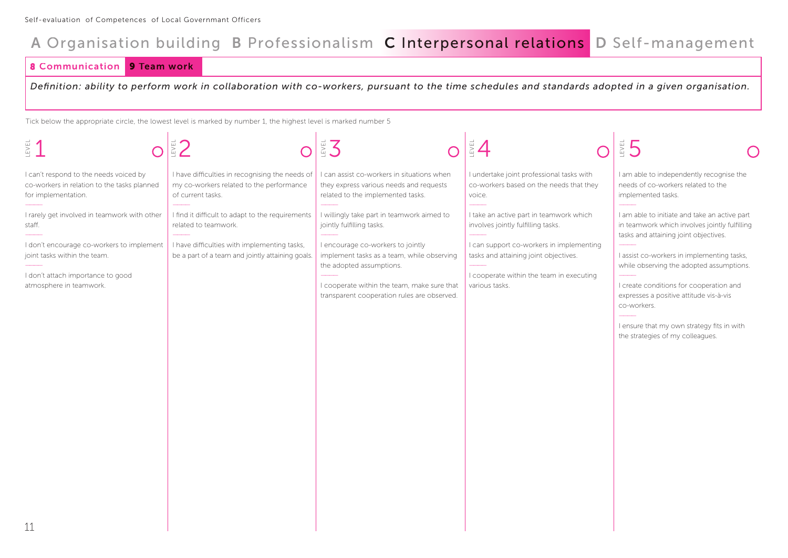**Communication 9 Team work** 

*Definition: ability to perform work in collaboration with co-workers, pursuant to the time schedules and standards adopted in a given organisation.*

| 图1                                                                                                                                                                                                  |                                                                                                                                                                              | EVEL                                                                                                                                                                                                                                                                                 | EVEL                                                                                                                                                                                                                             | ₿5                                                                                                                                                                                                                                                                                                                                                                                                                       |
|-----------------------------------------------------------------------------------------------------------------------------------------------------------------------------------------------------|------------------------------------------------------------------------------------------------------------------------------------------------------------------------------|--------------------------------------------------------------------------------------------------------------------------------------------------------------------------------------------------------------------------------------------------------------------------------------|----------------------------------------------------------------------------------------------------------------------------------------------------------------------------------------------------------------------------------|--------------------------------------------------------------------------------------------------------------------------------------------------------------------------------------------------------------------------------------------------------------------------------------------------------------------------------------------------------------------------------------------------------------------------|
| I can't respond to the needs voiced by<br>co-workers in relation to the tasks planned<br>for implementation.                                                                                        | I have difficulties in recognising the needs of<br>my co-workers related to the performance<br>of current tasks.                                                             | can assist co-workers in situations when<br>they express various needs and requests<br>related to the implemented tasks.                                                                                                                                                             | I undertake joint professional tasks with<br>co-workers based on the needs that they<br>voice.                                                                                                                                   | I am able to independently recognise the<br>needs of co-workers related to the<br>implemented tasks.                                                                                                                                                                                                                                                                                                                     |
| I rarely get involved in teamwork with other<br>staff.<br>I don't encourage co-workers to implement<br>joint tasks within the team.<br>I don't attach importance to good<br>atmosphere in teamwork. | I find it difficult to adapt to the requirements<br>related to teamwork.<br>I have difficulties with implementing tasks,<br>be a part of a team and jointly attaining goals. | I willingly take part in teamwork aimed to<br>jointly fulfilling tasks.<br>I encourage co-workers to jointly<br>implement tasks as a team, while observing<br>the adopted assumptions.<br>I cooperate within the team, make sure that<br>transparent cooperation rules are observed. | I take an active part in teamwork which<br>involves jointly fulfilling tasks.<br>I can support co-workers in implementing<br>tasks and attaining joint objectives.<br>I cooperate within the team in executing<br>various tasks. | I am able to initiate and take an active part<br>in teamwork which involves jointly fulfilling<br>tasks and attaining joint objectives.<br>I assist co-workers in implementing tasks,<br>while observing the adopted assumptions.<br>I create conditions for cooperation and<br>expresses a positive attitude vis-à-vis<br>co-workers.<br>I ensure that my own strategy fits in with<br>the strategies of my colleagues. |
| 11                                                                                                                                                                                                  |                                                                                                                                                                              |                                                                                                                                                                                                                                                                                      |                                                                                                                                                                                                                                  |                                                                                                                                                                                                                                                                                                                                                                                                                          |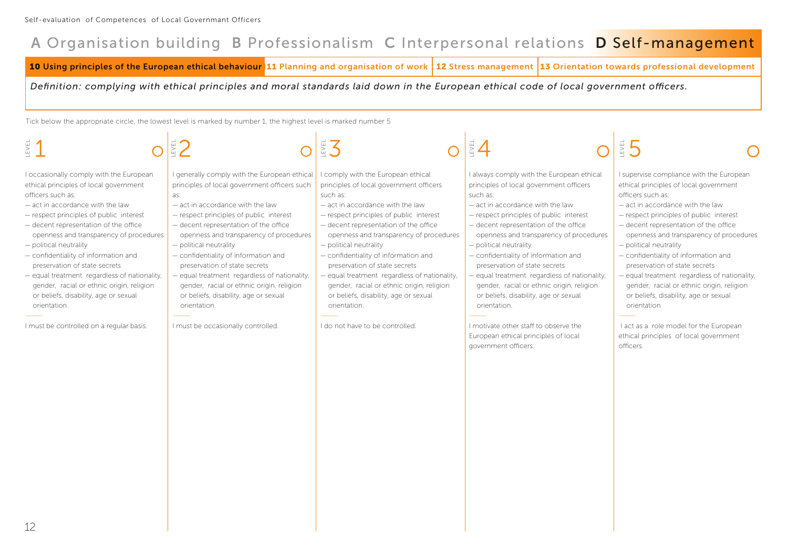**10 Using principles of the European ethical behaviour 11 Planning and organisation of work 12 Stress management 13 Orientation towards professional development** 

*Definition: complying with ethical principles and moral standards laid down in the European ethical code of local government officers.*

| EVEL                                                                                                                                                                                                                                                                                                                                                                                                                                                                                                                                                                           |                                                                                                                                                                                                                                                                                                                                                                                                                                                                                                                                                                         | 営ス                                                                                                                                                                                                                                                                                                                                                                                                                                                                                                                                                         |                                                                                                                                                                                                                                                                                                                                                                                                                                                                                                                                                                                                                                         | $\frac{1}{2}$ 5                                                                                                                                                                                                                                                                                                                                                                                                                                                                                                                                                                                                                       |
|--------------------------------------------------------------------------------------------------------------------------------------------------------------------------------------------------------------------------------------------------------------------------------------------------------------------------------------------------------------------------------------------------------------------------------------------------------------------------------------------------------------------------------------------------------------------------------|-------------------------------------------------------------------------------------------------------------------------------------------------------------------------------------------------------------------------------------------------------------------------------------------------------------------------------------------------------------------------------------------------------------------------------------------------------------------------------------------------------------------------------------------------------------------------|------------------------------------------------------------------------------------------------------------------------------------------------------------------------------------------------------------------------------------------------------------------------------------------------------------------------------------------------------------------------------------------------------------------------------------------------------------------------------------------------------------------------------------------------------------|-----------------------------------------------------------------------------------------------------------------------------------------------------------------------------------------------------------------------------------------------------------------------------------------------------------------------------------------------------------------------------------------------------------------------------------------------------------------------------------------------------------------------------------------------------------------------------------------------------------------------------------------|---------------------------------------------------------------------------------------------------------------------------------------------------------------------------------------------------------------------------------------------------------------------------------------------------------------------------------------------------------------------------------------------------------------------------------------------------------------------------------------------------------------------------------------------------------------------------------------------------------------------------------------|
| I occasionally comply with the European<br>ethical principles of local government<br>officers such as:<br>- act in accordance with the law<br>- respect principles of public interest<br>- decent representation of the office<br>openness and transparency of procedures<br>- political neutrality<br>- confidentiality of information and<br>preservation of state secrets<br>- equal treatment regardless of nationality,<br>gender, racial or ethnic origin, religion<br>or beliefs, disability, age or sexual<br>orientation.<br>I must be controlled on a regular basis. | I generally comply with the European ethical<br>principles of local government officers such<br>as:<br>- act in accordance with the law<br>- respect principles of public interest<br>- decent representation of the office<br>openness and transparency of procedures<br>$-$ political neutrality<br>- confidentiality of information and<br>preservation of state secrets<br>- equal treatment regardless of nationality,<br>gender, racial or ethnic origin, religion<br>or beliefs, disability, age or sexual<br>orientation.<br>I must be occasionally controlled. | I comply with the European ethical<br>principles of local government officers<br>such as:<br>- act in accordance with the law<br>- respect principles of public interest<br>- decent representation of the office<br>openness and transparency of procedures<br>$-$ political neutrality<br>- confidentiality of information and<br>preservation of state secrets<br>- equal treatment regardless of nationality,<br>gender, racial or ethnic origin, religion<br>or beliefs, disability, age or sexual<br>orientation.<br>I do not have to be controlled. | I always comply with the European ethical<br>principles of local government officers<br>such as:<br>- act in accordance with the law<br>- respect principles of public interest<br>- decent representation of the office<br>openness and transparency of procedures<br>$-$ political neutrality<br>- confidentiality of information and<br>preservation of state secrets<br>- equal treatment regardless of nationality,<br>gender, racial or ethnic origin, religion<br>or beliefs, disability, age or sexual<br>orientation.<br>I motivate other staff to observe the<br>European ethical principles of local<br>government officers. | I supervise compliance with the European<br>ethical principles of local government<br>officers such as:<br>- act in accordance with the law<br>- respect principles of public interest<br>- decent representation of the office<br>openness and transparency of procedures<br>$-$ political neutrality<br>- confidentiality of information and<br>preservation of state secrets<br>- equal treatment regardless of nationality,<br>gender, racial or ethnic origin, religion<br>or beliefs, disability, age or sexual<br>orientation<br>I act as a role model for the European<br>ethical principles of local government<br>officers. |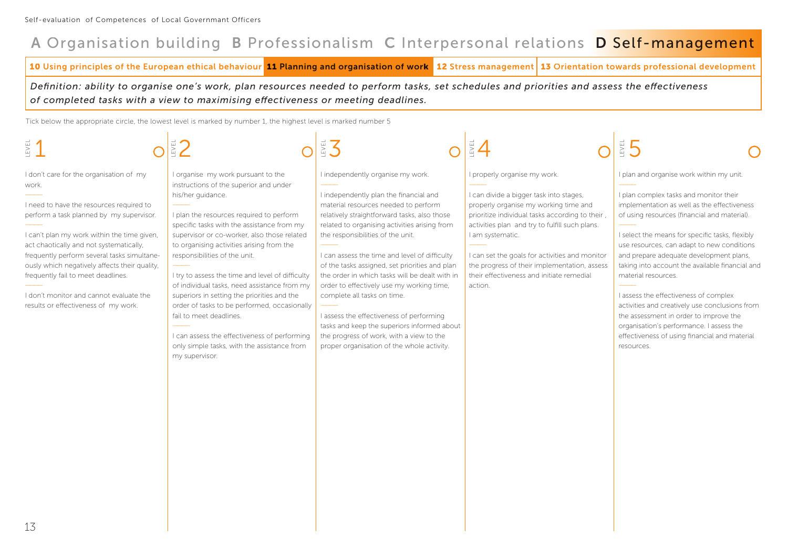**10 Using principles of the European ethical behaviour 11 Planning and organisation of work 12 Stress management 13 Orientation towards professional development** 

*Definition: ability to organise one's work, plan resources needed to perform tasks, set schedules and priorities and assess the effectiveness of completed tasks with a view to maximising effectiveness or meeting deadlines.*

| LEVEL                                                                                                                                                                                                                                                                                                                                                                                                                                                       |                                                                                                                                                                                                                                                                                                                                                                                                                                                                                                                                                                                                                                                                         | EVEL                                                                                                                                                                                                                                                                                                                                                                                                                                                                                                                                                                                                                                                                            | $\bar{\mathbb{E}}$ 4                                                                                                                                                                                                                                                                                                                                                                                | EVEL                                                                                                                                                                                                                                                                                                                                                                                                                                                                                                                                                                                                                                                    |
|-------------------------------------------------------------------------------------------------------------------------------------------------------------------------------------------------------------------------------------------------------------------------------------------------------------------------------------------------------------------------------------------------------------------------------------------------------------|-------------------------------------------------------------------------------------------------------------------------------------------------------------------------------------------------------------------------------------------------------------------------------------------------------------------------------------------------------------------------------------------------------------------------------------------------------------------------------------------------------------------------------------------------------------------------------------------------------------------------------------------------------------------------|---------------------------------------------------------------------------------------------------------------------------------------------------------------------------------------------------------------------------------------------------------------------------------------------------------------------------------------------------------------------------------------------------------------------------------------------------------------------------------------------------------------------------------------------------------------------------------------------------------------------------------------------------------------------------------|-----------------------------------------------------------------------------------------------------------------------------------------------------------------------------------------------------------------------------------------------------------------------------------------------------------------------------------------------------------------------------------------------------|---------------------------------------------------------------------------------------------------------------------------------------------------------------------------------------------------------------------------------------------------------------------------------------------------------------------------------------------------------------------------------------------------------------------------------------------------------------------------------------------------------------------------------------------------------------------------------------------------------------------------------------------------------|
| I don't care for the organisation of my<br>work.<br>I need to have the resources required to<br>perform a task planned by my supervisor.<br>I can't plan my work within the time given,<br>act chaotically and not systematically,<br>frequently perform several tasks simultane-<br>ously which negatively affects their quality,<br>frequently fail to meet deadlines.<br>I don't monitor and cannot evaluate the<br>results or effectiveness of my work. | I organise my work pursuant to the<br>instructions of the superior and under<br>his/her quidance.<br>I plan the resources required to perform<br>specific tasks with the assistance from my<br>supervisor or co-worker, also those related<br>to organising activities arising from the<br>responsibilities of the unit.<br>I try to assess the time and level of difficulty<br>of individual tasks, need assistance from my<br>superiors in setting the priorities and the<br>order of tasks to be performed, occasionally<br>fail to meet deadlines.<br>I can assess the effectiveness of performing<br>only simple tasks, with the assistance from<br>my supervisor. | I independently organise my work.<br>I independently plan the financial and<br>material resources needed to perform<br>relatively straightforward tasks, also those<br>related to organising activities arising from<br>the responsibilities of the unit.<br>I can assess the time and level of difficulty<br>of the tasks assigned, set priorities and plan<br>the order in which tasks will be dealt with in<br>order to effectively use my working time,<br>complete all tasks on time.<br>I assess the effectiveness of performing<br>tasks and keep the superiors informed about<br>the progress of work, with a view to the<br>proper organisation of the whole activity. | I properly organise my work.<br>I can divide a bigger task into stages,<br>properly organise my working time and<br>prioritize individual tasks according to their,<br>activities plan and try to fulfill such plans.<br>I am systematic.<br>I can set the goals for activities and monitor<br>the progress of their implementation, assess<br>their effectiveness and initiate remedial<br>action. | I plan and organise work within my unit.<br>I plan complex tasks and monitor their<br>implementation as well as the effectiveness<br>of using resources (financial and material).<br>I select the means for specific tasks, flexibly<br>use resources, can adapt to new conditions<br>and prepare adequate development plans,<br>taking into account the available financial and<br>material resources.<br>I assess the effectiveness of complex<br>activities and creatively use conclusions from<br>the assessment in order to improve the<br>organisation's performance. I assess the<br>effectiveness of using financial and material<br>resources. |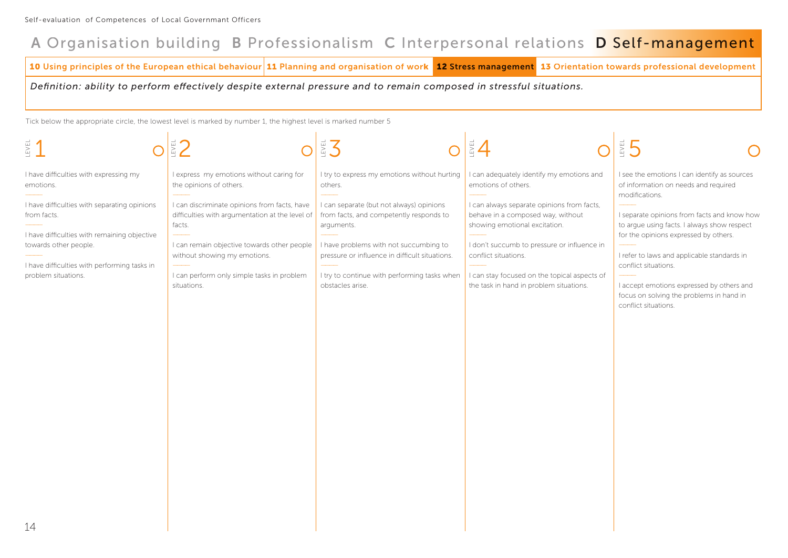**10 Using principles of the European ethical behaviour 11 Planning and organisation of work 12 Stress management 13 Orientation towards professional development** 

*Definition: ability to perform effectively despite external pressure and to remain composed in stressful situations.*

| LEVEL                                                                                                                                                                                                                                                              | EZ <sup>1</sup>                                                                                                                                                                                                                                                                                                              | EN 3                                                                                                                                                                                                                                                                                                                         | $\frac{1}{2}$ 4                                                                                                                                                                                                                                                                                                                                        | ES 5                                                                                                                                                                                                                                                                                                                                                                                                                                  |
|--------------------------------------------------------------------------------------------------------------------------------------------------------------------------------------------------------------------------------------------------------------------|------------------------------------------------------------------------------------------------------------------------------------------------------------------------------------------------------------------------------------------------------------------------------------------------------------------------------|------------------------------------------------------------------------------------------------------------------------------------------------------------------------------------------------------------------------------------------------------------------------------------------------------------------------------|--------------------------------------------------------------------------------------------------------------------------------------------------------------------------------------------------------------------------------------------------------------------------------------------------------------------------------------------------------|---------------------------------------------------------------------------------------------------------------------------------------------------------------------------------------------------------------------------------------------------------------------------------------------------------------------------------------------------------------------------------------------------------------------------------------|
| I have difficulties with expressing my<br>emotions.<br>I have difficulties with separating opinions<br>from facts.<br>I have difficulties with remaining objective<br>towards other people.<br>I have difficulties with performing tasks in<br>problem situations. | I express my emotions without caring for<br>the opinions of others.<br>I can discriminate opinions from facts, have<br>difficulties with argumentation at the level of<br>facts.<br>I can remain objective towards other people<br>without showing my emotions.<br>I can perform only simple tasks in problem<br>situations. | I try to express my emotions without hurting<br>others.<br>I can separate (but not always) opinions<br>from facts, and competently responds to<br>arguments.<br>I have problems with not succumbing to<br>pressure or influence in difficult situations.<br>I try to continue with performing tasks when<br>obstacles arise. | I can adequately identify my emotions and<br>emotions of others.<br>I can always separate opinions from facts,<br>behave in a composed way, without<br>showing emotional excitation.<br>I don't succumb to pressure or influence in<br>conflict situations.<br>I can stay focused on the topical aspects of<br>the task in hand in problem situations. | I see the emotions I can identify as sources<br>of information on needs and required<br>modifications.<br>I separate opinions from facts and know how<br>to argue using facts. I always show respect<br>for the opinions expressed by others.<br>I refer to laws and applicable standards in<br>conflict situations.<br>I accept emotions expressed by others and<br>focus on solving the problems in hand in<br>conflict situations. |
| 14                                                                                                                                                                                                                                                                 |                                                                                                                                                                                                                                                                                                                              |                                                                                                                                                                                                                                                                                                                              |                                                                                                                                                                                                                                                                                                                                                        |                                                                                                                                                                                                                                                                                                                                                                                                                                       |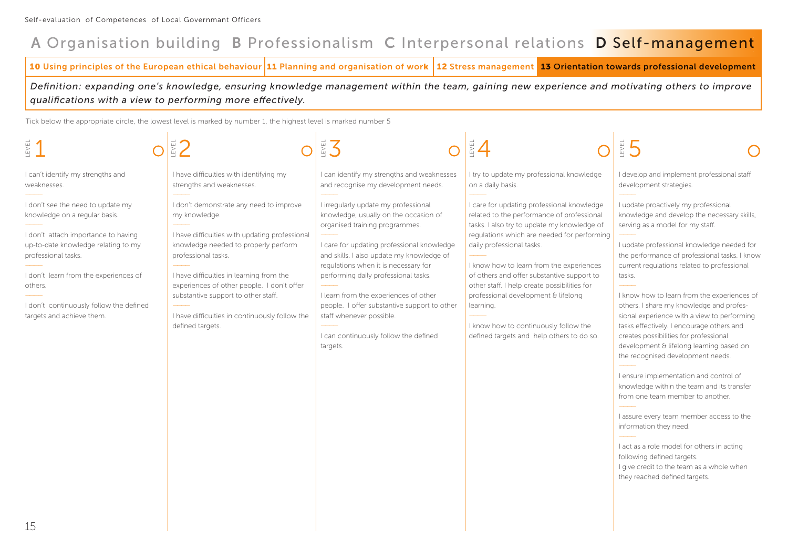**10 Using principles of the European ethical behaviour 11 Planning and organisation of work 12 Stress management 13 Orientation towards professional development** 

*Definition: expanding one's knowledge, ensuring knowledge management within the team, gaining new experience and motivating others to improve qualifications with a view to performing more effectively.*

| EVEI.                                                                                                                                                                                                                                                                                               |                                                                                                                                                                                                                                                                                                                                                                                  | EVEL                                                                                                                                                                                                                                                                                                                                                                                                                                                                 |                                                                                                                                                                                                                                                                                                                                                                                                                                                                                                         | EVEL                                                                                                                                                                                                                                                                                                                                                                                                                                                                                                                                                                                                                                                                                                                                                                                                                                                                                                                                                          |
|-----------------------------------------------------------------------------------------------------------------------------------------------------------------------------------------------------------------------------------------------------------------------------------------------------|----------------------------------------------------------------------------------------------------------------------------------------------------------------------------------------------------------------------------------------------------------------------------------------------------------------------------------------------------------------------------------|----------------------------------------------------------------------------------------------------------------------------------------------------------------------------------------------------------------------------------------------------------------------------------------------------------------------------------------------------------------------------------------------------------------------------------------------------------------------|---------------------------------------------------------------------------------------------------------------------------------------------------------------------------------------------------------------------------------------------------------------------------------------------------------------------------------------------------------------------------------------------------------------------------------------------------------------------------------------------------------|---------------------------------------------------------------------------------------------------------------------------------------------------------------------------------------------------------------------------------------------------------------------------------------------------------------------------------------------------------------------------------------------------------------------------------------------------------------------------------------------------------------------------------------------------------------------------------------------------------------------------------------------------------------------------------------------------------------------------------------------------------------------------------------------------------------------------------------------------------------------------------------------------------------------------------------------------------------|
| I can't identify my strengths and<br>weaknesses.                                                                                                                                                                                                                                                    | I have difficulties with identifying my<br>strengths and weaknesses.                                                                                                                                                                                                                                                                                                             | I can identify my strengths and weaknesses<br>and recognise my development needs.                                                                                                                                                                                                                                                                                                                                                                                    | I try to update my professional knowledge<br>on a daily basis.                                                                                                                                                                                                                                                                                                                                                                                                                                          | I develop and implement professional staff<br>development strategies.                                                                                                                                                                                                                                                                                                                                                                                                                                                                                                                                                                                                                                                                                                                                                                                                                                                                                         |
| I don't see the need to update my<br>knowledge on a regular basis.<br>I don't attach importance to having<br>up-to-date knowledge relating to my<br>professional tasks.<br>I don't learn from the experiences of<br>others.<br>I don't continuously follow the defined<br>targets and achieve them. | I don't demonstrate any need to improve<br>my knowledge.<br>I have difficulties with updating professional<br>knowledge needed to properly perform<br>professional tasks.<br>I have difficulties in learning from the<br>experiences of other people. I don't offer<br>substantive support to other staff.<br>I have difficulties in continuously follow the<br>defined targets. | I irregularly update my professional<br>knowledge, usually on the occasion of<br>organised training programmes.<br>I care for updating professional knowledge<br>and skills. I also update my knowledge of<br>regulations when it is necessary for<br>performing daily professional tasks.<br>I learn from the experiences of other<br>people. I offer substantive support to other<br>staff whenever possible.<br>I can continuously follow the defined<br>targets. | I care for updating professional knowledge<br>related to the performance of professional<br>tasks. I also try to update my knowledge of<br>regulations which are needed for performing<br>daily professional tasks.<br>I know how to learn from the experiences<br>of others and offer substantive support to<br>other staff. I help create possibilities for<br>professional development & lifelong<br>learning.<br>I know how to continuously follow the<br>defined targets and help others to do so. | I update proactively my professional<br>knowledge and develop the necessary skills,<br>serving as a model for my staff.<br>I update professional knowledge needed for<br>the performance of professional tasks. I know<br>current regulations related to professional<br>tasks.<br>I know how to learn from the experiences of<br>others. I share my knowledge and profes-<br>sional experience with a view to performing<br>tasks effectively. I encourage others and<br>creates possibilities for professional<br>development & lifelong learning based on<br>the recognised development needs.<br>I ensure implementation and control of<br>knowledge within the team and its transfer<br>from one team member to another.<br>I assure every team member access to the<br>information they need.<br>I act as a role model for others in acting<br>following defined targets.<br>I give credit to the team as a whole when<br>they reached defined targets. |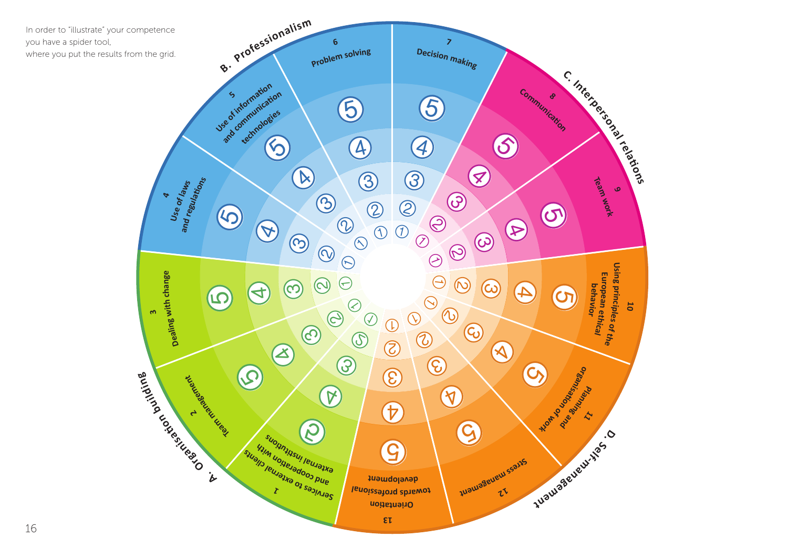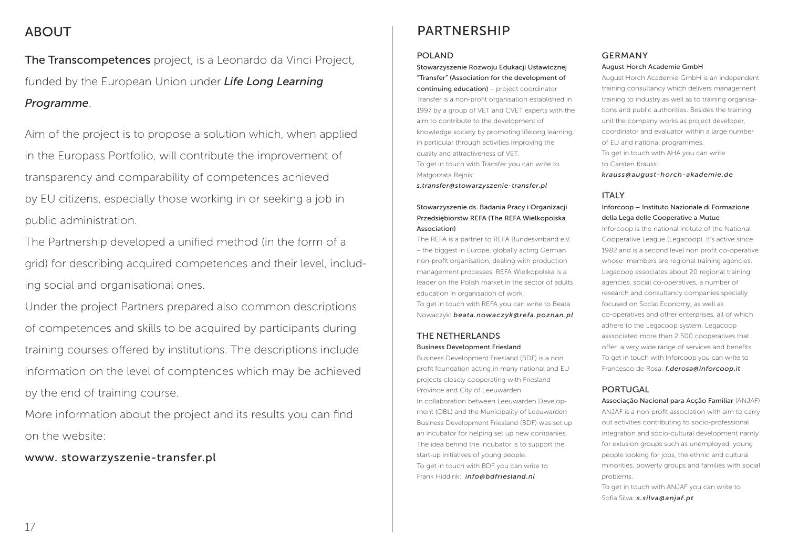### ABOUT

The Transcompetences project, is a Leonardo da Vinci Project, funded by the European Union under *Life Long Learning Programme*.

Aim of the project is to propose a solution which, when applied in the Europass Portfolio, will contribute the improvement of transparency and comparability of competences achieved by EU citizens, especially those working in or seeking a job in public administration.

The Partnership developed a unified method (in the form of a grid) for describing acquired competences and their level, including social and organisational ones.

Under the project Partners prepared also common descriptions of competences and skills to be acquired by participants during training courses offered by institutions. The descriptions include information on the level of comptences which may be achieved by the end of training course.

More information about the project and its results you can find on the website:

www. stowarzyszenie-transfer.pl

### PARTNERSHIP

#### POLAND

Stowarzyszenie Rozwoju Edukacji Ustawicznej "Transfer" (Association for the development of continuing education) – project coordinator Transfer is a non-profit organisation established in 1997 by a group of VET and CVET experts with the aim to contribute to the development of knowledge society by promoting lifelong learning, in particular through activities improving the quality and attractiveness of VET. To get in touch with Transfer you can write to Małgorzata Rejnik:

*s.transfer@stowarzyszenie-transfer.pl*

#### Stowarzyszenie ds. Badania Pracy i Organizacji Przedsiębiorstw REFA (The REFA Wielkopolska Association)

The REFA is a partner to REFA Bundesvrrband e.V – the biggest in Europe, globally acting German non-profit organisation, dealing with production management processes. REFA Wielkopolska is a leader on the Polish market in the sector of adults education in organisation of work.

To get in touch with REFA you can write to Beata Nowaczyk: *beata.nowaczyk@refa.poznan.pl*

#### THE NETHERLANDS Business Development Friesland

Business Development Friesland (BDF) is a non profit foundation acting in many national and EU projects closely cooperating with Friesland Province and City of Leeuwarden In collaboration between Leeuwarden Development (OBL) and the Municipality of Leeuwarden Business Development Friesland (BDF) was set up an incubator for helping set up new companies. The idea behind the incubator is to support the start-up initiatives of young people. To get in touch with BDF you can write to Frank Hiddink: *info@bdfriesland.nl*

#### GERMANY

#### August Horch Academie GmbH

August Horch Academie GmbH is an independent training consultancy which delivers management training to industry as well as to training organisations and public authorities. Besides the training unit the company works as project developer, coordinator and evaluator within a large number of EU and national programmes. To get in touch with AHA you can write to Carsten Krauss: *krauss@august-horch-akademie.de*

#### ITALY

#### Inforcoop – Instituto Nazionale di Formazione della Lega delle Cooperative a Mutue

Inforcoop is the national intitute of the National Cooperative League (Legacoop). It's active since 1982 and is a second level non profit co-operative whose members are regional training agencies. Legacoop associates about 20 regional training agencies, social co-operatives, a number of research and consultancy companies specially focused on Social Economy, as well as co-operatives and other enterprises, all of which adhere to the Legacoop system. Legacoop asssociated more than 2 500 cooperatives that offer a very wide range of services and benefits. To get in touch with Inforcoop you can write to Francesco de Rosa: *f.derosa@inforcoop.it*

#### PORTUGAL

Associação Nacional para Acção Familiar (ANJAF) ANJAF is a non-profit association with aim to carry out activities contributing to socio-professional integration and socio-cultural development namly for exlusion groups such as unemployed, young people looking for jobs, the ethnic and cultural minorities, powerty groups and families with social problems.

To get in touch with ANJAF you can write to Sofia Silva: *s.silva@anjaf.pt*